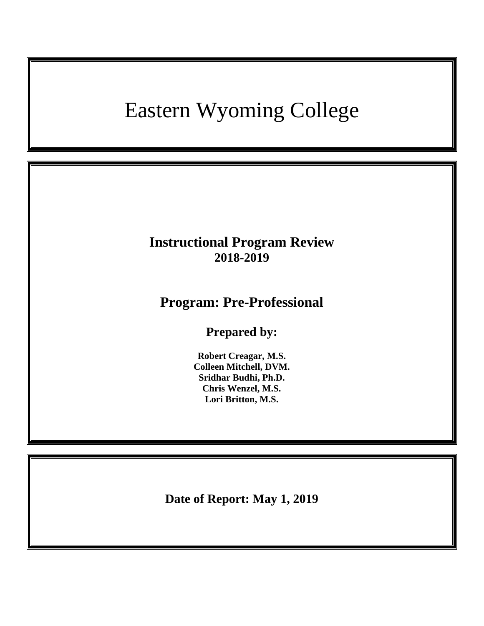# Eastern Wyoming College

# **Instructional Program Review 2018-2019**

# **Program: Pre-Professional**

**Prepared by:**

**Robert Creagar, M.S. Colleen Mitchell, DVM. Sridhar Budhi, Ph.D. Chris Wenzel, M.S. Lori Britton, M.S.**

**Date of Report: May 1, 2019**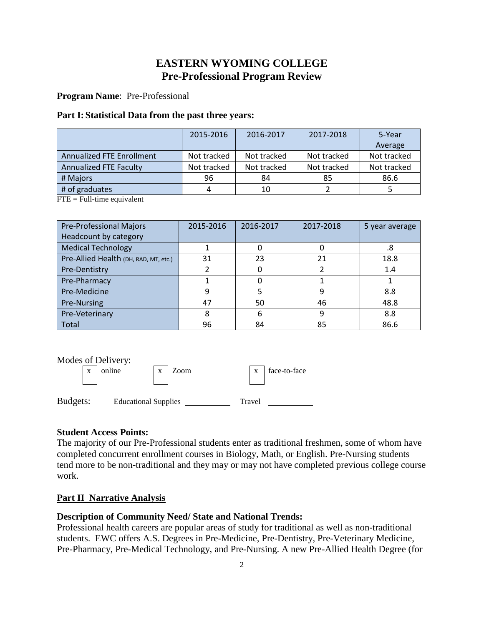# **EASTERN WYOMING COLLEGE Pre-Professional Program Review**

**Program Name**: Pre-Professional

#### **Part I: Statistical Data from the past three years:**

|                                  | 2015-2016   | 2016-2017   | 2017-2018   | 5-Year      |
|----------------------------------|-------------|-------------|-------------|-------------|
|                                  |             |             |             | Average     |
| <b>Annualized FTE Enrollment</b> | Not tracked | Not tracked | Not tracked | Not tracked |
| <b>Annualized FTE Faculty</b>    | Not tracked | Not tracked | Not tracked | Not tracked |
| # Majors                         | 96          | 84          | 85          | 86.6        |
| # of graduates                   |             | 10          |             |             |

 $FTE = Full-time equivalent$ 

| <b>Pre-Professional Majors</b>        | 2015-2016 | 2016-2017 | 2017-2018 | 5 year average |
|---------------------------------------|-----------|-----------|-----------|----------------|
| Headcount by category                 |           |           |           |                |
| <b>Medical Technology</b>             |           |           |           | .8             |
| Pre-Allied Health (DH, RAD, MT, etc.) | 31        | 23        | 21        | 18.8           |
| Pre-Dentistry                         |           |           |           | 1.4            |
| Pre-Pharmacy                          |           |           |           |                |
| Pre-Medicine                          | q         |           | 9         | 8.8            |
| Pre-Nursing                           | 47        | 50        | 46        | 48.8           |
| Pre-Veterinary                        |           | 6         | 9         | 8.8            |
| Total                                 | 96        | 84        | 85        | 86.6           |

#### Modes of Delivery:

|                                         | $\mathbf{X}$ | online | X      | Zoom |  | X | face-to-face |
|-----------------------------------------|--------------|--------|--------|------|--|---|--------------|
| Budgets:<br><b>Educational Supplies</b> |              |        | Travel |      |  |   |              |

## **Student Access Points:**

The majority of our Pre-Professional students enter as traditional freshmen, some of whom have completed concurrent enrollment courses in Biology, Math, or English. Pre-Nursing students tend more to be non-traditional and they may or may not have completed previous college course work.

## **Part II Narrative Analysis**

## **Description of Community Need/ State and National Trends:**

Professional health careers are popular areas of study for traditional as well as non-traditional students. EWC offers A.S. Degrees in Pre-Medicine, Pre-Dentistry, Pre-Veterinary Medicine, Pre-Pharmacy, Pre-Medical Technology, and Pre-Nursing. A new Pre-Allied Health Degree (for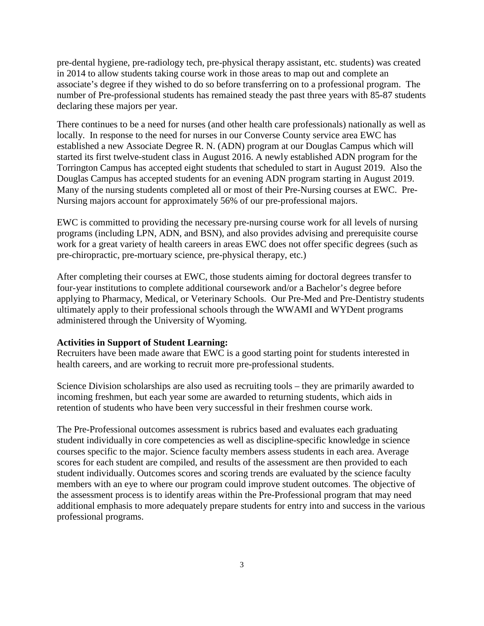pre-dental hygiene, pre-radiology tech, pre-physical therapy assistant, etc. students) was created in 2014 to allow students taking course work in those areas to map out and complete an associate's degree if they wished to do so before transferring on to a professional program. The number of Pre-professional students has remained steady the past three years with 85-87 students declaring these majors per year.

There continues to be a need for nurses (and other health care professionals) nationally as well as locally. In response to the need for nurses in our Converse County service area EWC has established a new Associate Degree R. N. (ADN) program at our Douglas Campus which will started its first twelve-student class in August 2016. A newly established ADN program for the Torrington Campus has accepted eight students that scheduled to start in August 2019. Also the Douglas Campus has accepted students for an evening ADN program starting in August 2019. Many of the nursing students completed all or most of their Pre-Nursing courses at EWC. Pre-Nursing majors account for approximately 56% of our pre-professional majors.

EWC is committed to providing the necessary pre-nursing course work for all levels of nursing programs (including LPN, ADN, and BSN), and also provides advising and prerequisite course work for a great variety of health careers in areas EWC does not offer specific degrees (such as pre-chiropractic, pre-mortuary science, pre-physical therapy, etc.)

After completing their courses at EWC, those students aiming for doctoral degrees transfer to four-year institutions to complete additional coursework and/or a Bachelor's degree before applying to Pharmacy, Medical, or Veterinary Schools. Our Pre-Med and Pre-Dentistry students ultimately apply to their professional schools through the WWAMI and WYDent programs administered through the University of Wyoming.

#### **Activities in Support of Student Learning:**

Recruiters have been made aware that EWC is a good starting point for students interested in health careers, and are working to recruit more pre-professional students.

Science Division scholarships are also used as recruiting tools – they are primarily awarded to incoming freshmen, but each year some are awarded to returning students, which aids in retention of students who have been very successful in their freshmen course work.

The Pre-Professional outcomes assessment is rubrics based and evaluates each graduating student individually in core competencies as well as discipline-specific knowledge in science courses specific to the major. Science faculty members assess students in each area. Average scores for each student are compiled, and results of the assessment are then provided to each student individually. Outcomes scores and scoring trends are evaluated by the science faculty members with an eye to where our program could improve student outcomes. The objective of the assessment process is to identify areas within the Pre-Professional program that may need additional emphasis to more adequately prepare students for entry into and success in the various professional programs.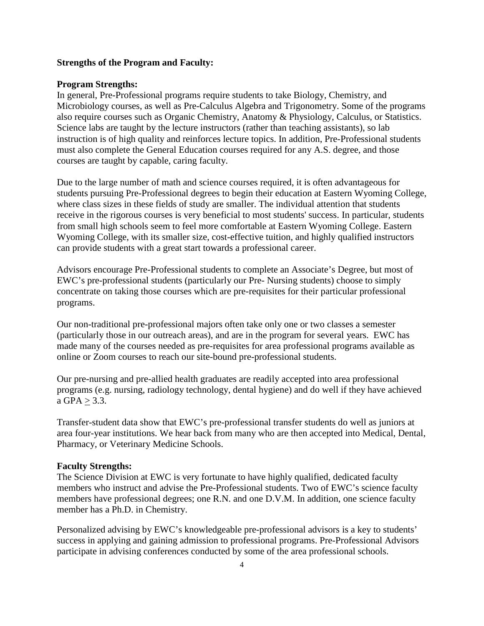#### **Strengths of the Program and Faculty:**

#### **Program Strengths:**

In general, Pre-Professional programs require students to take Biology, Chemistry, and Microbiology courses, as well as Pre-Calculus Algebra and Trigonometry. Some of the programs also require courses such as Organic Chemistry, Anatomy & Physiology, Calculus, or Statistics. Science labs are taught by the lecture instructors (rather than teaching assistants), so lab instruction is of high quality and reinforces lecture topics. In addition, Pre-Professional students must also complete the General Education courses required for any A.S. degree, and those courses are taught by capable, caring faculty.

Due to the large number of math and science courses required, it is often advantageous for students pursuing Pre-Professional degrees to begin their education at Eastern Wyoming College, where class sizes in these fields of study are smaller. The individual attention that students receive in the rigorous courses is very beneficial to most students' success. In particular, students from small high schools seem to feel more comfortable at Eastern Wyoming College. Eastern Wyoming College, with its smaller size, cost-effective tuition, and highly qualified instructors can provide students with a great start towards a professional career.

Advisors encourage Pre-Professional students to complete an Associate's Degree, but most of EWC's pre-professional students (particularly our Pre- Nursing students) choose to simply concentrate on taking those courses which are pre-requisites for their particular professional programs.

Our non-traditional pre-professional majors often take only one or two classes a semester (particularly those in our outreach areas), and are in the program for several years. EWC has made many of the courses needed as pre-requisites for area professional programs available as online or Zoom courses to reach our site-bound pre-professional students.

Our pre-nursing and pre-allied health graduates are readily accepted into area professional programs (e.g. nursing, radiology technology, dental hygiene) and do well if they have achieved a GPA  $\geq$  3.3.

Transfer-student data show that EWC's pre-professional transfer students do well as juniors at area four-year institutions. We hear back from many who are then accepted into Medical, Dental, Pharmacy, or Veterinary Medicine Schools.

#### **Faculty Strengths:**

The Science Division at EWC is very fortunate to have highly qualified, dedicated faculty members who instruct and advise the Pre-Professional students. Two of EWC's science faculty members have professional degrees; one R.N. and one D.V.M. In addition, one science faculty member has a Ph.D. in Chemistry.

Personalized advising by EWC's knowledgeable pre-professional advisors is a key to students' success in applying and gaining admission to professional programs. Pre-Professional Advisors participate in advising conferences conducted by some of the area professional schools.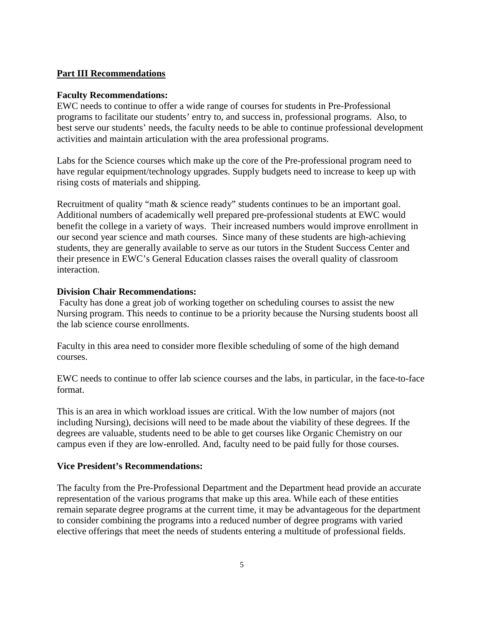#### **Part III Recommendations**

#### **Faculty Recommendations:**

EWC needs to continue to offer a wide range of courses for students in Pre-Professional programs to facilitate our students' entry to, and success in, professional programs. Also, to best serve our students' needs, the faculty needs to be able to continue professional development activities and maintain articulation with the area professional programs.

Labs for the Science courses which make up the core of the Pre-professional program need to have regular equipment/technology upgrades. Supply budgets need to increase to keep up with rising costs of materials and shipping.

Recruitment of quality "math & science ready" students continues to be an important goal. Additional numbers of academically well prepared pre-professional students at EWC would benefit the college in a variety of ways. Their increased numbers would improve enrollment in our second year science and math courses. Since many of these students are high-achieving students, they are generally available to serve as our tutors in the Student Success Center and their presence in EWC's General Education classes raises the overall quality of classroom interaction.

#### **Division Chair Recommendations:**

Faculty has done a great job of working together on scheduling courses to assist the new Nursing program. This needs to continue to be a priority because the Nursing students boost all the lab science course enrollments.

Faculty in this area need to consider more flexible scheduling of some of the high demand courses.

EWC needs to continue to offer lab science courses and the labs, in particular, in the face-to-face format.

This is an area in which workload issues are critical. With the low number of majors (not including Nursing), decisions will need to be made about the viability of these degrees. If the degrees are valuable, students need to be able to get courses like Organic Chemistry on our campus even if they are low-enrolled. And, faculty need to be paid fully for those courses.

#### **Vice President's Recommendations:**

The faculty from the Pre-Professional Department and the Department head provide an accurate representation of the various programs that make up this area. While each of these entities remain separate degree programs at the current time, it may be advantageous for the department to consider combining the programs into a reduced number of degree programs with varied elective offerings that meet the needs of students entering a multitude of professional fields.